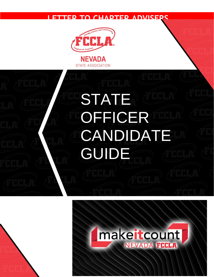### **LETTER TO CHAPTER ADVISERS**



**STATE ASSOCIATION** 

# **STATE** OFFICER **CANDIDATE** GUIDE

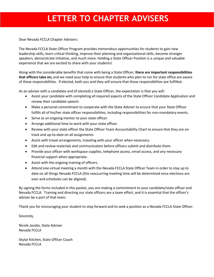### **LETTER TO CHAPTER ADVISERS**

Dear Nevada FCCLA Chapter Advisers:

The Nevada FCCLA State Officer Program provides tremendous opportunities for students to gain new leadership skills, learn critical thinking, improve their planning and organizational skills, become stronger speakers, demonstrate initiative, and much more. Holding a State Officer Position is a unique and valuable experience that we are excited to share with your students!

Along with the considerable benefits that come with being a State Officer, **there are important responsibilities that officers take on;** and we need your help to ensure that students who plan to run for state office are aware of these responsibilities. If elected, both you and they will ensure that those responsibilities are fulfilled.

As an adviser with a candidate and (if elected) a State Officer, the expectation is that you will:

- Assist your candidate with completing all required aspects of the State Officer Candidate Application and review their candidate speech.
- Make a personal commitment to cooperate with the State Adviser to ensure that your State Officer fulfills all of his/her state officer responsibilities, including responsibilities for non-mandatory events.
- Serve as an ongoing mentor to your state officer.
- Arrange additional time to work with your state officer.
- Review with your state officer the State Officer Team Accountability Chart to ensure that they are on track and up-to-date on all assignments.
- Assist with travel arrangements, traveling with your officer when necessary.
- Edit and review materials and communication before officers submit and distribute them.
- Provide your officer with workspace supplies, telephone access, email access, and any necessary financial support when appropriate.
- Assist with the ongoing training of officers.
- Attend one virtual meeting a month with the Nevada FCCLA State Officer Team in order to stay up to date on all things Nevada FCCLA (this reoccurring meeting time will be determined once elections are over and schedules can be aligned).

By signing the forms included in this packet, you are making a commitment to your candidate/state officer and Nevada FCCLA. Training and directing our state officers are a team effort, and it is essential that the officer's adviser be a part of that team.

Thank you for encouraging your student to step forward and to seek a position as a Nevada FCCLA State Officer.

Sincerely,

Nicole Jacobs, State Adviser Nevada FCCLA

Skylar Kitchen, State Officer Coach Nevada FCCLA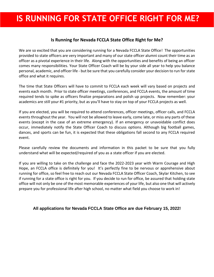### **IS RUNNING FOR STATE OFFICE RIGHT FOR ME?**

### **Is Running for Nevada FCCLA State Office Right for Me?**

We are so excited that you are considering running for a Nevada FCCLA State Office! The opportunities provided to state officers are very important and many of our state officer alumni count their time as an officer as a pivotal experience in their life. Along with the opportunities and benefits of being an officer comes many responsibilities. Your State Officer Coach will be by your side all year to help you balance personal, academic, and officer life - but be sure that you carefully consider your decision to run for state office and what it requires.

The time that State Officers will have to commit to FCCLA each week will vary based on projects and events each month. Prior to state officer meetings, conferences, and FCCLA events, the amount of time required tends to spike as officers finalize preparations and polish up projects. Now remember: your academics are still your #1 priority, but as you'll have to stay on top of your FCCLA projects as well.

If you are elected, you will be required to attend conferences, officer meetings, officer calls, and FCCLA events throughout the year. You will not be allowed to leave early, come late, or miss any parts of these events (except in the case of an extreme emergency). If an emergency or unavoidable conflict does occur, immediately notify the State Officer Coach to discuss options. Although big football games, dances, and sports can be fun, it is expected that these obligations fall second to any FCCLA required event.

Please carefully review the documents and information in this packet to be sure that you fully understand what will be expected/required of you as a state officer if you are elected.

If you are willing to take on the challenge and face the 2022-2023 year with Warm Courage and High Hope, an FCCLA office is definitely for you! It's perfectly fine to be nervous or apprehensive about running for office, so feel free to reach out our Nevada FCCLA State Officer Coach, Skylar Kitchen, to see if running for a state office is right for you. If you decide to run for office, be assured that holding state office will not only be one of the most memorable experiences of your life, but also one that will actively prepare you for professional life after high school, no matter what field you choose to work in!

**All applications for Nevada FCCLA State Office are due February 15, 2022!**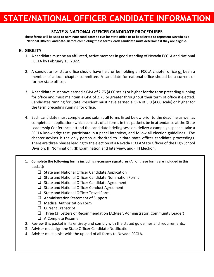### **STATE & NATIONAL OFFICER CANDIDATE PROCEDURES**

**These forms will be used to nominate candidates to run for state office or to be selected to represent Nevada as a National Officer Candidate. Before completing these forms, each candidate must determine if they are eligible.**

#### **ELIGIBILITY**

- 1. A candidate must be an affiliated, active member in good standing of Nevada FCCLA and National FCCLA by February 15, 2022.
- 2. A candidate for state office should have held or be holding an FCCLA chapter office **or** been a member of a local chapter committee. A candidate for national office should be a current or former state officer.
- 3. A candidate must have earned a GPA of 2.75 (4.00 scale) or higher for the term preceding running for office and must maintain a GPA of 2.75 or greater throughout their term of office if elected. Candidates running for State President must have earned a GPA of 3.0 (4.00 scale) or higher for the term preceding running for office.
- 4. Each candidate must complete and submit all forms listed below prior to the deadline as well as complete an application (which consists of all forms in this packet), be in attendance at the State Leadership Conference, attend the candidate briefing session, deliver a campaign speech, take a FCCLA knowledge test, participate in a panel interview, and follow all election guidelines. The chapter adviser is the only person authorized to initiate state officer candidate proceedings. There are three phases leading to the election of a Nevada FCCLA State Officer of the High School Division: (I) Nomination, (II) Examination and Interview, and (III) Election.
- 1. **Complete the following forms including necessary signatures** (All of these forms are included in this packet):
	- ❑ State and National Officer Candidate Application
	- ❑ State and National Officer Candidate Nomination Forms
	- ❑ State and National Officer Candidate Agreement
	- ❑ State and National Officer Conduct Agreement
	- ❑ State and National Officer Travel Form
	- ❑ Administration Statement of Support
	- ❑ Medical Authorization Form
	- ❑ Current Transcript
	- ❑ Three (3) Letters of Recommendation (Adviser, Administrator, Community Leader)
	- ❑ A Complete Resume
- 2. Review this packet in its entirety and comply with the stated guidelines and requirements.
- 3. Adviser must sign the State Officer Candidate Notification.
- 4. Adviser must assist with the upload of all forms to Nevada FCCLA.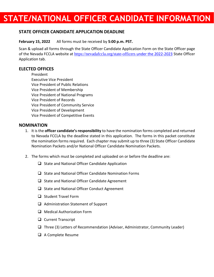### **STATE OFFICER CANDIDATE APPLICATION DEADLINE**

**February 15, 2022** All forms must be received by **5:00 p.m. PST.** 

Scan & upload all forms through the State Officer Candidate Application Form on the State Officer page of the Nevada FCCLA website at [https://nevadafccla.org/state-officers](https://nevadafccla.org/state-officers%20under%20the%202022-2023) under the 2022[-2023](https://nevadafccla.org/state-officers%20under%20the%202022-2023) State Officer Application tab.

### **ELECTED OFFICES**

President Executive Vice President Vice President of Public Relations Vice President of Membership Vice President of National Programs Vice President of Records Vice President of Community Service Vice President of Development Vice President of Competitive Events

#### **NOMINATION**

- 1. It is the **officer candidate's responsibility** to have the nomination forms completed and returned to Nevada FCCLA by the deadline stated in this application. The forms in this packet constitute the nomination forms required. Each chapter may submit up to three (3) State Officer Candidate Nomination Packets and/or National Officer Candidate Nomination Packets.
- 2. The forms which must be completed and uploaded on or before the deadline are:
	- ❑ State and National Officer Candidate Application
	- ❑ State and National Officer Candidate Nomination Forms
	- ❑ State and National Officer Candidate Agreement
	- ❑ State and National Officer Conduct Agreement
	- ❑ Student Travel Form
	- ❑ Administration Statement of Support
	- ❑ Medical Authorization Form
	- ❑ Current Transcript
	- ❑ Three (3) Letters of Recommendation (Adviser, Administrator, Community Leader)
	- ❑ A Complete Resume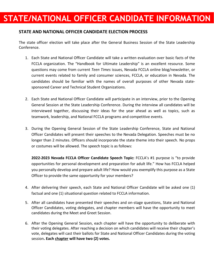### **STATE AND NATIONAL OFFICER CANDIDATE ELECTION PROCESS**

The state officer election will take place after the General Business Session of the State Leadership Conference.

- 1. Each State and National Officer Candidate will take a written evaluation over basic facts of the FCCLA organization. The "Handbook for Ultimate Leadership" is an excellent resource. Some questions may come from current *Teen Times* issues, Nevada FCCLA online blog/newsletter, or current events related to family and consumer sciences, FCCLA, or education in Nevada. The candidates should be familiar with the names of overall purposes of other Nevada statesponsored Career and Technical Student Organizations.
- 2. Each State and National Officer Candidate will participate in an interview, prior to the Opening General Session at the State Leadership Conference. During the interview all candidates will be interviewed together, discussing their ideas for the year ahead as well as topics, such as teamwork, leadership, and National FCCLA programs and competitive events.
- 3. During the Opening General Session of the State Leadership Conference, State and National Officer Candidates will present their speeches to the Nevada Delegation. Speeches must be no longer than 2 minutes. Officers should incorporate the state theme into their speech. No props or costumes will be allowed. The speech topic is as follows:

**2022-2023 Nevada FCCLA Officer Candidate Speech Topic:** FCCLA's #1 purpose is "to provide opportunities for personal development and preparation for adult life." How has FCCLA helped you personally develop and prepare adult life? How would you exemplify this purpose as a State Officer to provide the same opportunity for your members?

- 4. After delivering their speech, each State and National Officer Candidate will be asked one (1) factual and one (1) situational question related to FCCLA information.
- 5. After all candidates have presented their speeches and on-stage questions, State and National Officer Candidates, voting delegates, and chapter members will have the opportunity to meet candidates during the Meet and Greet Session.
- 6. After the Opening General Session, each chapter will have the opportunity to deliberate with their voting delegates. After reaching a decision on which candidates will receive their chapter's vote, delegates will cast their ballots for State and National Officer Candidates during the voting session**. Each chapter will have two (2) votes.**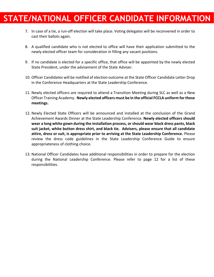- 7. In case of a tie, a run-off election will take place. Voting delegates will be reconvened in order to cast their ballots again.
- 8. A qualified candidate who is not elected to office will have their application submitted to the newly elected officer team for consideration in filling any vacant positions.
- 9. If no candidate is elected for a specific office, that office will be appointed by the newly elected State President, under the advisement of the State Adviser.
- 10. Officer Candidates will be notified of election outcome at the State Officer Candidate Letter Drop in the Conference Headquarters at the State Leadership Conference.
- 11. Newly elected officers are required to attend a Transition Meeting during SLC as well as a New Officer Training Academy. **Newly elected officers must be in the official FCCLA uniform for these meetings.**
- 12. Newly Elected State Officers will be announced and installed at the conclusion of the Grand Achievement Awards Dinner at the State Leadership Conference. **Newly elected officers should wear a long white gown during the installation process, orshould wear black dress pants, black suit jacket, white button dress shirt, and black tie. Advisers, please ensure that all candidate attire, dress or suit, is appropriate prior to arriving at the State Leadership Conference.** Please review the dress code guidelines in the State Leadership Conference Guide to ensure appropriateness of clothing choice.
- 13. National Officer Candidates have additional responsibilities in order to prepare for the election during the National Leadership Conference. Please refer to page 12 for a list of these responsibilities.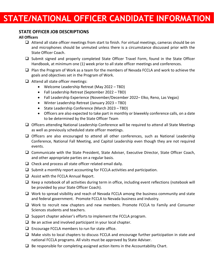### **STATE OFFICER JOB DESCRIPTIONS**

#### **All Officers**

- ❑ Attend all state officer meetings from start to finish. For virtual meetings, cameras should be on and microphones should be unmuted unless there is a circumstance discussed prior with the State Officer Coach.
- ❑ Submit signed and properly completed State Officer Travel Form, found in the State Officer Handbook, at minimum one (1) week prior to all state officer meetings and conferences.
- ❑ Plan the Program of Work as a team for the members of Nevada FCCLA and work to achieve the goals and objectives set in the Program of Work.
- ❑ Attend all state officer meetings:
	- Welcome Leadership Retreat (May 2022 TBD)
	- Fall Leadership Retreat (September 2022 TBD)
	- Fall Leadership Experience (November/December 2022– Elko, Reno, Las Vegas)
	- Winter Leadership Retreat (January 2023 TBD)
	- State Leadership Conference (March 2023 TBD)
	- Officers are also expected to take part in monthly or biweekly conference calls, on a date to be determined by the State Officer Team
- ❑ Officers attending National Leadership Conference will be required to attend all State Meetings as well as previously scheduled state officer meetings.
- ❑ Officers are also encouraged to attend all other conferences, such as National Leadership Conference, National Fall Meeting, and Capitol Leadership even though they are not required events.
- □ Communicate with the State President, State Adviser, Executive Director, State Officer Coach, and other appropriate parties on a regular basis.
- $\Box$  Check and process all state officer related email daily.
- ❑ Submit a monthly report accounting for FCCLA activities and participation.
- ❑ Assist with the FCCLA Annual Report.
- ❑ Keep a notebook of all activities during term in office, including event reflections (notebook will be provided by your State Officer Coach).
- ❑ Work to spread visibility and reach of Nevada FCCLA among the business community and state and federal government. Promote FCCLA to Nevada business and industry.
- ❑ Work to recruit new chapters and new members. Promote FCCLA to Family and Consumer Sciences students and teachers.
- ❑ Support chapter adviser's efforts to implement the FCCLA program.
- $\Box$  Be an active and involved participant in your local chapter.
- $\Box$  Encourage FCCLA members to run for state office.
- ❑ Make visits to local chapters to discuss FCCLA and encourage further participation in state and national FCCLA programs. All visits must be approved by State Adviser.
- $\Box$  Be responsible for completing assigned action items in the Accountability Chart.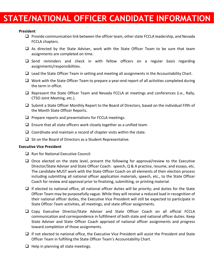#### **President**

- ❑ Provide communication link between the officer team, other state FCCLA leadership, and Nevada FCCLA chapters.
- ❑ As directed by the State Adviser, work with the State Officer Team to be sure that team assignments are completed on time.
- ❑ Send reminders and check in with fellow officers on a regular basis regarding assignments/responsibilities.
- $\Box$  Lead the State Officer Team in setting and meeting all assignments in the Accountability Chart.
- ❑ Work with the State Officer Team to prepare a year‐end report of all activities completed during the term in office.
- ❑ Represent the State Officer Team and Nevada FCCLA at meetings and conferences (i.e., Rally, CTSO Joint Meeting, etc.).
- ❑ Submit a State Officer Monthly Report to the Board of Directors, based on the individual Fifth of the Month State Officer Reports.
- $\Box$  Prepare reports and presentations for FCCLA meetings.
- $\Box$  Ensure that all state officers work closely together as a unified team.
- $\Box$  Coordinate and maintain a record of chapter visits within the state.
- ❑ Sit on the Board of Directors as a Student Representative.

#### **Executive Vice President**

- ❑ Run for National Executive Council.
- ❑ Once elected on the state level, present the following for approval/review to the Executive Director/State Adviser and State Officer Coach: speech, Q & A practice, resume, and essays, etc. The candidate MUST work with the State Officer Coach on all elements of their election process including submitting all national officer application materials, speech, etc., to the State Officer Coach for review and approval prior to finalizing, submitting, or printing material.
- $\Box$  If elected to national office, all national officer duties will be priority; and duties for the State Officer Team may be purposefully vague. While they will receive a reduced load in recognition of their national officer duties, the Executive Vice President will still be expected to participate in State Officer Team activities, all meetings, and state officer assignments.
- ❑ Copy Executive Director/State Adviser and State Officer Coach on all official FCCLA communication and correspondence in fulfillment of both state and national officer duties. Keep State Adviser and State Officer Coach apprised of national officer assignments and progress toward completion of those assignments.
- ❑ If not elected to national office, the Executive Vice President will assist the President and State Officer Team in fulfilling the State Officer Team's Accountability Chart.
- $\Box$  Help in planning all state meetings.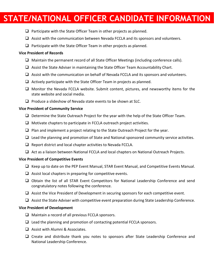- ❑ Participate with the State Officer Team in other projects as planned.
- ❑ Assist with the communication between Nevada FCCLA and its sponsors and volunteers.
- ❑ Participate with the State Officer Team in other projects as planned.

#### **Vice President of Records**

- ❑ Maintain the permanent record of all State Officer Meetings (including conference calls).
- ❑ Assist the State Adviser in maintaining the State Officer Team Accountability Chart.
- ❑ Assist with the communication on behalf of Nevada FCCLA and its sponsors and volunteers.
- $\Box$  Actively participate with the State Officer Team in projects as planned.
- ❑ Monitor the Nevada FCCLA website. Submit content, pictures, and newsworthy items for the state website and social media.
- ❑ Produce a slideshow of Nevada state events to be shown at SLC.

#### **Vice President of Community Service**

- ❑ Determine the State Outreach Project for the year with the help of the State Officer Team.
- ❑ Motivate chapters to participate in FCCLA outreach project activities.
- ❑ Plan and implement a project relating to the State Outreach Project for the year.
- ❑ Lead the planning and promotion of State and National sponsored community service activities.
- $\Box$  Report district and local chapter activities to Nevada FCCLA.
- ❑ Act as a liaison between National FCCLA and local chapters on National Outreach Projects.

#### **Vice President of Competitive Events**

- ❑ Keep up to date on the PEP Event Manual, STAR Event Manual, and Competitive Events Manual.
- $\Box$  Assist local chapters in preparing for competitive events.
- ❑ Obtain the list of all STAR Event Competitors for National Leadership Conference and send congratulatory notes following the conference.
- ❑ Assist the Vice President of Development in securing sponsors for each competitive event.
- ❑ Assist the State Adviser with competitive event preparation during State Leadership Conference.

#### **Vice President of Development**

- ❑ Maintain a record of all previous FCCLA sponsors.
- $\Box$  Lead the planning and promotion of contacting potential FCCLA sponsors.
- ❑ Assist with Alumni & Associates.
- ❑ Create and distribute thank you notes to sponsors after State Leadership Conference and National Leadership Conference.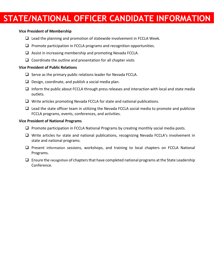#### **Vice President of Membership**

- ❑ Lead the planning and promotion of statewide involvement in FCCLA Week.
- □ Promote participation in FCCLA programs and recognition opportunities.
- ❑ Assist in increasing membership and promoting Nevada FCCLA.
- $\Box$  Coordinate the outline and presentation for all chapter visits

#### **Vice President of Public Relations**

- ❑ Serve as the primary public relations leader for Nevada FCCLA.
- $\Box$  Design, coordinate, and publish a social media plan.
- $\Box$  Inform the public about FCCLA through press releases and interaction with local and state media outlets.
- ❑ Write articles promoting Nevada FCCLA for state and national publications.
- $\Box$  Lead the state officer team in utilizing the Nevada FCCLA social media to promote and publicize FCCLA programs, events, conferences, and activities.

#### **Vice President of National Programs**

- ❑ Promote participation in FCCLA National Programs by creating monthly social media posts.
- ❑ Write articles for state and national publications, recognizing Nevada FCCLA's involvement in state and national programs.
- □ Present information sessions, workshops, and training to local chapters on FCCLA National Programs.
- $\Box$  Ensure the recognition of chapters that have completed national programs at the State Leadership Conference.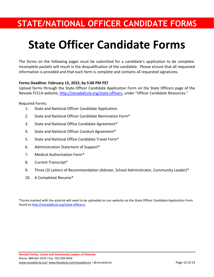## **State Officer Candidate Forms**

The forms on the following pages must be submitted for a candidate's application to be complete. Incomplete packets will result in the disqualification of the candidate. Please ensure that all requested information is provided and that each form is complete and contains all requested signatures.

#### **Forms Deadline: February 15, 2022, by 5:00 PM PST**

Upload forms through the State Officer Candidate Application Form on the State Officers page of the Nevada FCCLA website[, http://nevadafccla.org/state-officers](http://nevadafccla.org/state-officers), under "Officer Candidate Resources."

Required Forms:

- 1. State and National Officer Candidate Application
- 2. State and National Officer Candidate Nomination Form\*
- 3. State and National Office Candidate Agreement\*
- 4. State and National Officer Conduct Agreement\*
- 5. State and National Office Candidate Travel Form\*
- 6. Administration Statement of Support\*
- 7. Medical Authorization Form\*
- 8. Current Transcript\*
- 9. Three (3) Letters of Recommendation (Adviser, School Administrator, Community Leader)\*
- 10. A Completed Resume\*

\*Forms marked with the asterisk will need to be uploaded on our website via the State Officer Candidate Application Form found a[t http://nevadafccla.org/state-officers/.](http://nevadafccla.org/state-officers/)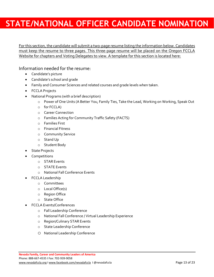For this section, the candidate will submit a two-page resume listing the information below. Candidates must keep the resume to three pages. This three-page resume will be placed on the Oregon FCCLA Website for chapters and Voting Delegates to view. A template for this section is located here:

Information needed for the resume:

- Candidate's picture
- Candidate's school and grade
- Family and Consumer Sciences and related courses and grade levels when taken.
- FCCLA Projects
- National Programs (with a brief description)
	- o Power of One Units (A Better You, Family Ties, Take the Lead, Working on Working, Speak Out
	- o for FCCLA)
	- o Career Connection
	- o Families Acting for Community Traffic Safety (FACTS)
	- o Families First
	- o Financial Fitness
	- o Community Service
	- o Stand Up
	- o Student Body
- **State Projects**
- Competitions
	- o STAR Events
	- o STATE Events
	- o National Fall Conference Events
- FCCLA Leadership
	- o Committees
	- o Local Office(s)
	- o Region Office
	- o State Office
- FCCLA Events/Conferences
	- o Fall Leadership Conference
	- o National Fall Conference / Virtual Leadership Experience
	- o Region/Culinary STAR Events
	- o State Leadership Conference
	- o National Leadership Conference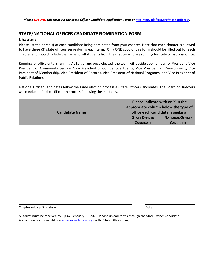### **STATE/NATIONAL OFFICER CANDIDATE NOMINATION FORM Chapter:**

Please list the name(s) of each candidate being nominated from your chapter. Note that each chapter is allowed to have three (3) state officers serve during each term. Only ONE copy of this form should be filled out for each chapter and should include the names of all students from the chapter who are running for state or national office.

Running for office entails running At-Large, and once elected, the team will decide upon offices for President, Vice President of Community Service, Vice President of Competitive Events, Vice President of Development, Vice President of Membership, Vice President of Records, Vice President of National Programs, and Vice President of Public Relations.

National Officer Candidates follow the same election process as State Officer Candidates. The Board of Directors will conduct a final certification process following the elections.

|                       | Please indicate with an X in the<br>appropriate column below the type of<br>office each candidate is seeking. |                         |
|-----------------------|---------------------------------------------------------------------------------------------------------------|-------------------------|
|                       |                                                                                                               |                         |
| <b>Candidate Name</b> |                                                                                                               |                         |
|                       | <b>STATE OFFICER</b>                                                                                          | <b>NATIONAL OFFICER</b> |
|                       | <b>CANDIDATE</b>                                                                                              | <b>CANDIDATE</b>        |
|                       |                                                                                                               |                         |
|                       |                                                                                                               |                         |
|                       |                                                                                                               |                         |
|                       |                                                                                                               |                         |
|                       |                                                                                                               |                         |
|                       |                                                                                                               |                         |
|                       |                                                                                                               |                         |
|                       |                                                                                                               |                         |
|                       |                                                                                                               |                         |
|                       |                                                                                                               |                         |

Chapter Adviser Signature **Date Adviser Signature** Adviser **Date Adviser Signature** Date Date Adviser Base Date Date

All forms must be received by 5 p.m. February 15, 2020. Please upload forms through the State Officer Candidate Application Form available on [www.nevadafccla.org](http://www.nevadafccla.org/) on the State Officers page.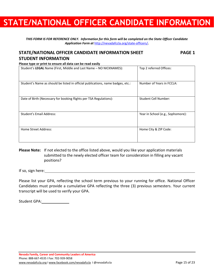*THIS FORM IS FOR REFERENCE ONLY. Information for this form will be completed on the State Officer Candidate Application Form at* <http://nevadafccla.org/state-officers/>*.*

### **STATE/NATIONAL OFFICER CANDIDATE INFORMATION SHEET PAGE 1 STUDENT INFORMATION**

**Please type or print to ensure all data can be read easily**

| Student's LEGAL Name (First, Middle and Last Name - NO NICKNAMES):              | Top 2 referred Offices:           |
|---------------------------------------------------------------------------------|-----------------------------------|
| Student's Name as should be listed in official publications, name badges, etc.: | Number of Years in FCCLA:         |
| Date of Birth (Necessary for booking flights per TSA Regulations):              | Student Cell Number:              |
| Student's Email Address:                                                        | Year in School (e.g., Sophomore): |
| Home Street Address:                                                            | Home City & ZIP Code:             |

**Please Note:** If not elected to the office listed above, would you like your application materials submitted to the newly elected officer team for consideration in filling any vacant positions?

If so, sign here:

Please list your GPA, reflecting the school term previous to your running for office. National Officer Candidates must provide a cumulative GPA reflecting the three (3) previous semesters. Your current transcript will be used to verify your GPA.

Student GPA: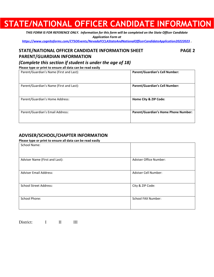*THIS FORM IS FOR REFERENCE ONLY. Information for this form will be completed on the State Officer Candidate Application Form at <https://www.cognitoforms.com/CTSOEvents/NevadaFCCLAStateAndNationalOfficerCandidateApplication20222023> .*

### **STATE/NATIONAL OFFICER CANDIDATE INFORMATION SHEET PAGE 2**

### **PARENT/GUARDIAN INFORMATION**

*(Complete this section if student is under the age of 18)*

**Please type or print to ensure all data can be read easily**

| Parent/Guardian's Name (First and Last): | <b>Parent/Guardian's Cell Number:</b>       |
|------------------------------------------|---------------------------------------------|
| Parent/Guardian's Name (First and Last): | <b>Parent/Guardian's Cell Number:</b>       |
| Parent/Guardian's Home Address:          | Home City & ZIP Code:                       |
| Parent/Guardian's Email Address:         | <b>Parent/Guardian's Home Phone Number:</b> |

### **ADVISER/SCHOOL/CHAPTER INFORMATION**

**Please type or print to ensure all data can be read easily**

| <b>School Name:</b>            |                        |
|--------------------------------|------------------------|
|                                |                        |
| Adviser Name (First and Last): | Adviser Office Number: |
| <b>Adviser Email Address:</b>  | Adviser Cell Number:   |
| <b>School Street Address:</b>  | City & ZIP Code:       |
| <b>School Phone:</b>           | School FAX Number:     |

| District: |  |  |
|-----------|--|--|
|-----------|--|--|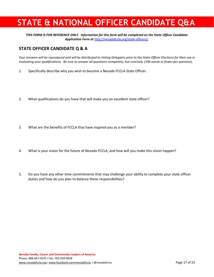### **STATE & NATIONAL OFFICER CANDIDATE Q&A**

*THIS FORM IS FOR REFERENCE ONLY. Information for this form will be completed on the State Officer Candidate Application Form at* <http://nevadafccla.org/state-officers/>*.*

### **STATE OFFICER CANDIDATE Q & A**

*Your answers will be reproduced and will be distributed to Voting Delegates prior to the State Officer Elections for their use in evaluating your qualifications. Be sure to answer all questions completely, but concisely (100 words or fewer per question).*

- 1. Specifically describe why you wish to become a Nevada FCCLA State Officer.
- 2. What qualifications do you have that will make you an excellent state officer?
- 3. What are the benefits of FCCLA that have inspired you as a member?
- 4. What is your vision for the future of Nevada FCCLA, and how will you make this vision happen?
- 5. Do you have any other time commitments that may challenge your ability to complete your state officer duties and how do you plan to balance these responsibilities?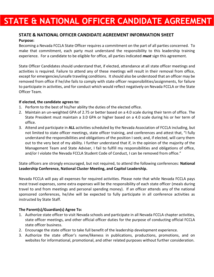### **STATE & NATIONAL OFFICER CANDIDATE AGREEMENT**

### **STATE & NATIONAL OFFICER CANDIDATE AGREEMENT INFORMATION SHEET**

#### **Purpose:**

Becoming a Nevada FCCLA State Officer requires a commitment on the part of all parties concerned. To make that commitment, each party must understand the responsibility to this leadership training experience. For a candidate to be eligible for office, all parties indicated *must* sign this agreement.

State Officer Candidates should understand that, if elected, attendance at all state officer meetings and activities is required. Failure to attend any of these meetings will result in their removal from office, except for emergencies/unsafe traveling conditions. It should also be understood that an officer may be removed from office if he/she fails to comply with state officer responsibilities/assignments, for failure to participate in activities, and for conduct which would reflect negatively on Nevada FCCLA or the State Officer Team.

#### **If elected, the candidate agrees to:**

- 1. Perform to the best of his/her ability the duties of the elected office.
- 2. Maintain an un-weighted GPA of 2.75 or better based on a 4.0 scale during their term of office. The State President must maintain a 3.0 GPA or higher based on a 4.0 scale during his or her term of office.
- 3. Attend and participate in **ALL** activities scheduled by the Nevada Association of FCCLA including, but not limited to state officer meetings, state officer training, and conferences and attest that, "I fully understand the responsibilities and obligations of the position I seek; and, if elected, will carry them out to the very best of my ability. I further understand that if, in the opinion of the majority of the Management Team and State Adviser, I fail to fulfill my responsibilities and obligations of office, and/or I violate the Nevada FCCLA Student Code of Conduct, I can be removed from office."

State officers are strongly encouraged, but not required, to attend the following conferences: **National Leadership Conference, National Cluster Meeting, and Capitol Leadership.**

Nevada FCCLA will pay all expenses for required activities. Please note that while Nevada FCCLA pays most travel expenses, some extra expenses will be the responsibility of each state officer (meals during travel to and from meetings and personal spending money). If an officer attends any of the national sponsored conferences, he/she will be expected to fully participate in all conference activities as instructed by State Staff.

#### **The Parent(s)/Guardian(s) Agree To:**

- 1. Authorize state officer to visit Nevada schools and participate in all Nevada FCCLA chapter activities, state officer meetings, and other official officer duties for the purpose of conducting official FCCLA state officer business.
- 2. Encourage the state officer to take full benefit of the leadership development experience.
- 3. Authorize the state officer's name/likeness in publications, productions, promotions, and on websites for informational, promotional, and other related purposes without further consideration.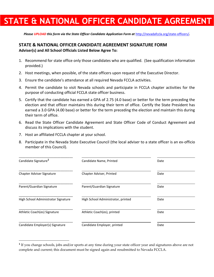### **STATE & NATIONAL OFFICER CANDIDATE AGREEMENT**

Please UPLOAD this form via the State Officer Candidate Application Form at <http://nevadafccla.org/state-officers/>.

#### **STATE & NATIONAL OFFICER CANDIDATE AGREEMENT SIGNATURE FORM Adviser(s) and All School Officials Listed Below Agree To:**

- 1. Recommend for state office only those candidates who are qualified. (See qualification information provided.)
- 2. Host meetings, when possible, of the state officers upon request of the Executive Director.
- 3. Ensure the candidate's attendance at all required Nevada FCCLA activities.
- 4. Permit the candidate to visit Nevada schools and participate in FCCLA chapter activities for the purpose of conducting official FCCLA state officer business.
- 5. Certify that the candidate has earned a GPA of 2.75 (4.0 base) or better for the term preceding the election and that officer maintains this during their term of office. Certify the State President has earned a 3.0 GPA (4.00 base) or better for the term preceding the election and maintain this during their term of office.
- 6. Read the State Officer Candidate Agreement and State Officer Code of Conduct Agreement and discuss its implications with the student.
- 7. Host an affiliated FCCLA chapter at your school.
- 8. Participate in the Nevada State Executive Council (the local adviser to a state officer is an ex-officio member of this Council).

| Candidate Signature <sup>1</sup>    | Candidate Name, Printed            | Date |
|-------------------------------------|------------------------------------|------|
| Chapter Adviser Signature           | Chapter Adviser, Printed           | Date |
| Parent/Guardian Signature           | Parent/Guardian Signature          | Date |
| High School Administrator Signature | High School Administrator, printed | Date |
| Athletic Coach(es) Signature        | Athletic Coach(es), printed        | Date |
| Candidate Employer(s) Signature     | Candidate Employer, printed        | Date |

**<sup>1</sup>** If you change schools, jobs and/or sports at any time during your state officer year and signatures above are not complete and current; this document must be signed again and resubmitted to Nevada FCCLA.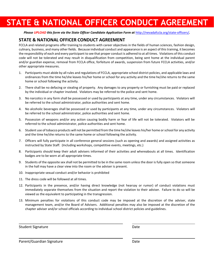### **STATE & NATIONAL OFFICER CONDUCT AGREEMENT**

Please UPLOAD this form via the State Officer Candidate Application Form at <http://nevadafccla.org/state-officers/>.

### **STATE & NATIONAL OFFICER CONDUCT AGREEMENT**

FCCLA and related programs offer training to students with career objectives in the fields of human sciences, fashion design, culinary, business, and many other fields. Because individual conduct and appearance is an aspect of this training, it becomes the responsibility of each and every participant to see that proper conduct is adhered to at all times. Violations of this conduct code will not be tolerated and may result in disqualification from competition, being sent home at the individual parent and/or guardian expense, removal from FCCLA office, forfeiture of awards, suspension from future FCCLA activities, and/or other appropriate measures.

- 1. Participants must abide by all rules and regulations of FCCLA, appropriate school district policies, and applicable laws and ordinances from the time he/she leaves his/her home or school for any activity and the time he/she returns to the same home or school following the activity.
- 2. There shall be no defacing or stealing of property. Any damages to any property or furnishing must be paid or replaced by the individual or chapter involved. Violators may be referred to the police and sent home.
- 3. No narcotics in any form shall be possessed or used by participants at any time, under any circumstances. Violators will be referred to the school administrator, police authorities and sent home.
- 4. No alcoholic beverages shall be possessed or used by participants at any time, under any circumstances. Violators will be referred to the school administrator, police authorities and sent home.
- 5. Possession of weapons and/or any action causing bodily harm or fear of life will not be tolerated. Violators will be referred to the school administrator, police authorities and sent home.
- 6. Student use of tobacco products will not be permitted from the time he/she leaves his/her home or school for any activity and the time he/she returns to the same home or school following the activity.
- 7. Officers will fully participate in all conference general sessions (such as opening and awards) and assigned activities as instructed by State Staff. (Including workshops, competitive events, meetings, etc.)
- 8. Participants should keep their adult advisers informed of their activities and whereabouts at all times. Identification badges are to be worn at all appropriate times.
- 9. Students of the opposite sex shall not be permitted to be in the same room unless the door is fully open so that someone in the hall may have a clear view into the room or the adviser is present.
- 10. Inappropriate sexual conduct and/or behavior is prohibited

\_\_\_\_\_\_\_\_\_\_\_\_\_\_\_\_\_\_\_\_\_\_\_\_\_\_\_\_\_\_\_\_\_\_\_\_\_\_\_\_\_\_\_\_\_\_\_\_\_\_\_\_

\_\_\_\_\_\_\_\_\_\_\_\_\_\_\_\_\_\_\_\_\_\_\_\_\_\_\_\_\_\_\_\_\_\_\_\_\_\_\_\_\_\_\_\_\_\_\_\_\_\_\_\_

- 11. The dress code will be followed at all times.
- 12. Participants in the presence, and/or having direct knowledge (not hearsay or rumor) of conduct violations must immediately separate themselves from the situation and report the violation to their adviser. Failure to do so will be viewed as the equivalent to participating in the transgression.
- 13. Minimum penalties for violations of this conduct code may be imposed at the discretion of the adviser, state management team, and/or the Board of Advisers. Additional penalties may also be imposed at the discretion of the chapter adviser and/or school officials according to individual school district policies and guidelines.

Student Signature Date

Parent/Guardian Signature Date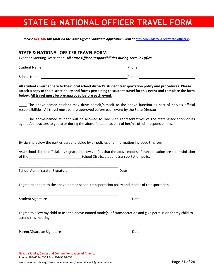### **STATE & NATIONAL OFFICER TRAVEL FORM**

Please UPLOAD this form via the State Officer Candidate Application Form at <http://nevadafccla.org/state-officers/>.

#### **STATE & NATIONAL OFFICER TRAVEL FORM**

Event or Meeting Description: *All State Officer Responsibilities during Term in Office*

Student Name: The Contract of the Contract of the Phone: Phone: Phone: Phone: Phone: Phone: Phone: Phone: Phone: Phone: Phone: Phone: Phone: Phone: Phone: Phone: Phone: Phone: Phone: Phone: Phone: Phone: Phone: Phone: Phon

School Name: Phone: Phone: Phone: Phone: Phone: Phone: Phone: Phone: Phone: Phone: Phone: Phone: Phone: Phone: Phone: Phone: Phone: Phone: Phone: Phone: Phone: Phone: Phone: Phone: Phone: Phone: Phone: Phone: Phone: Phone:

#### **All students must adhere to their local school district's student transportation policy and procedures. Please attach a copy of the district policy and forms pertaining to student travel for this event and complete the form below. All travel must be pre-approved before each event.**

The above-named student may drive herself/himself to the above function as part of her/his official responsibilities. All travel must be pre-approved before each event by the State Director.

The above-named student will be allowed to ride with representatives of the state association or its agents/contractors to get to or during the above function as part of her/his official responsibilities.

By signing below the parties agree to abide by all policies and information included this form:

As a school district official, my signature below verifies that the above modes of transportation are not in violation of the \_\_\_\_\_\_\_\_\_\_\_\_\_\_\_\_\_\_\_\_\_\_\_\_\_\_\_ School District student transportation policy.

School Administrator Signature **Date** Date

I agree to adhere to the above-named school transportation policy and modes of transportation.

Student Signature Date Date of the Student Signature Date Date Date Date Date Date

I agree to allow my child to use the above-named mode(s) of transportation and give permission for my child to attend this meeting.

Parent/Guardian Signature **Date** Date Date Date

**Nevada Family, Career and Community Leaders of America** Phone: 888-667-4535 I Fax: 702-939-9058 [www.nevadafccla.org](http://www.nevadafccla.org/) [I www.facebook.com/nevadafccla](http://www.facebook.com/nevadafccla) I @nevadafccla Page 21 of 24

\_\_\_\_\_\_\_\_\_\_\_\_\_\_\_\_\_\_\_\_\_\_\_\_\_\_\_\_\_\_\_\_\_\_\_\_\_\_\_\_\_\_\_\_\_\_\_\_\_\_\_\_

\_\_\_\_\_\_\_\_\_\_\_\_\_\_\_\_\_\_\_\_\_\_\_\_\_\_\_\_\_\_\_\_\_\_\_\_\_\_\_\_\_\_\_\_\_\_\_\_\_\_\_\_

\_\_\_\_\_\_\_\_\_\_\_\_\_\_\_\_\_\_\_\_\_\_\_\_\_\_\_\_\_\_\_\_\_\_\_\_\_\_\_\_\_\_\_\_\_\_\_\_\_\_\_\_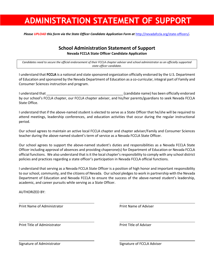### **ADMINISTRATION STATEMENT OF SUPPORT**

Please UPLOAD this form via the State Officer Candidate Application Form at <http://nevadafccla.org/state-officers/>.

### **School Administration Statement of Support**

**Nevada FCCLA State Officer Candidate Application**

*Candidates need to secure the official endorsement of their FCCLA chapter adviser and school administrator as an officially supported state officer candidate.*

I understand that **FCCLA** is a national and state sponsored organization officially endorsed by the U.S. Department of Education and sponsored by the Nevada Department of Education as a co-curricular, integral part of Family and Consumer Sciences instruction and program.

I understand that \_\_\_\_\_\_\_\_\_\_\_\_\_\_\_\_\_\_\_\_\_\_\_\_\_\_\_\_\_\_\_\_\_\_\_\_\_\_\_\_ (candidate name) has been officially endorsed by our school's FCCLA chapter, our FCCLA chapter adviser, and his/her parents/guardians to seek Nevada FCCLA State Office.

I understand that if the above-named student is elected to serve as a State Officer that he/she will be required to attend meetings, leadership conferences, and education activities that occur during the regular instructional period.

Our school agrees to maintain an active local FCCLA chapter and chapter adviser/Family and Consumer Sciences teacher during the above-named student's term of service as a Nevada FCCLA State Officer.

Our school agrees to support the above-named student's duties and responsibilities as a Nevada FCCLA State Officer including approval of absences and providing chaperone(s) for Department of Education or Nevada FCCLA official functions. We also understand that is it the local chapter's responsibility to comply with any school district policies and practices regarding a state officer's participation in Nevada FCCLA official functions.

I understand that serving as a Nevada FCCLA State Officer is a position of high honor and important responsibility to our school, community, and the citizens of Nevada. Our school pledges to work in partnership with the Nevada Department of Education and Nevada FCCLA to ensure the success of the above-named student's leadership, academic, and career pursuits while serving as a State Officer.

AUTHORIZED BY:

Print Name of Administrator **Print Name of Adviser** Print Name of Adviser

Print Title of Administrator **Print Title of Adviser** Print Title of Adviser

Signature of Administrator Signature of FCCLA Adviser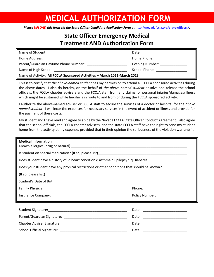### **MEDICAL AUTHORIZATION FORM**

Please UPLOAD this form via the State Officer Candidate Application Form at <http://nevadafccla.org/state-officers/>.

### **State Officer Emergency Medical Treatment AND Authorization Form**

| Name of Student:                                                         | Date:                      |  |
|--------------------------------------------------------------------------|----------------------------|--|
| Home Address:                                                            | Home Phone:                |  |
| Parent/Guardian Daytime Phone Number:                                    | Evening Number: __________ |  |
| Name of High School: Name of High School:                                | School Phone:              |  |
| Name of Activity: All FCCLA Sponsored Activities - March 2022-March 2023 |                            |  |

This is to certify that *the above-named student* has my permission to attend all FCCLA sponsored activities during the above dates. I also do hereby, on the behalf of *the above-named student* absolve and release the school officials, the FCCLA chapter advisers and the FCCLA staff from any claims for personal injuries/damages/illness which might be sustained while he/she is in route to and from or during the FCCLA sponsored activity.

I authorize the above-named adviser or FCCLA staff to secure the services of a doctor or hospital for the *above named student*. I will incur the expenses for necessary services in the event of accident or illness and provide for the payment of these costs.

My student and I have read and agree to abide by the Nevada FCCLA State Officer Conduct Agreement. I also agree that the school officials, the FCCLA chapter advisers, and the state FCCLA staff have the right to send my student home from the activity at my expense, provided that in their opinion the seriousness of the violation warrants it.

| <b>Medical Information</b>                                                                 |                                |  |
|--------------------------------------------------------------------------------------------|--------------------------------|--|
|                                                                                            |                                |  |
| Does student have a history of: q heart condition q asthma q Epilepsy? q Diabetes          |                                |  |
| Does your student have any physical restrictions or other conditions that should be known? |                                |  |
|                                                                                            |                                |  |
|                                                                                            |                                |  |
|                                                                                            |                                |  |
|                                                                                            | Policy Number: _______________ |  |
|                                                                                            |                                |  |
|                                                                                            |                                |  |
|                                                                                            |                                |  |
|                                                                                            |                                |  |
|                                                                                            |                                |  |